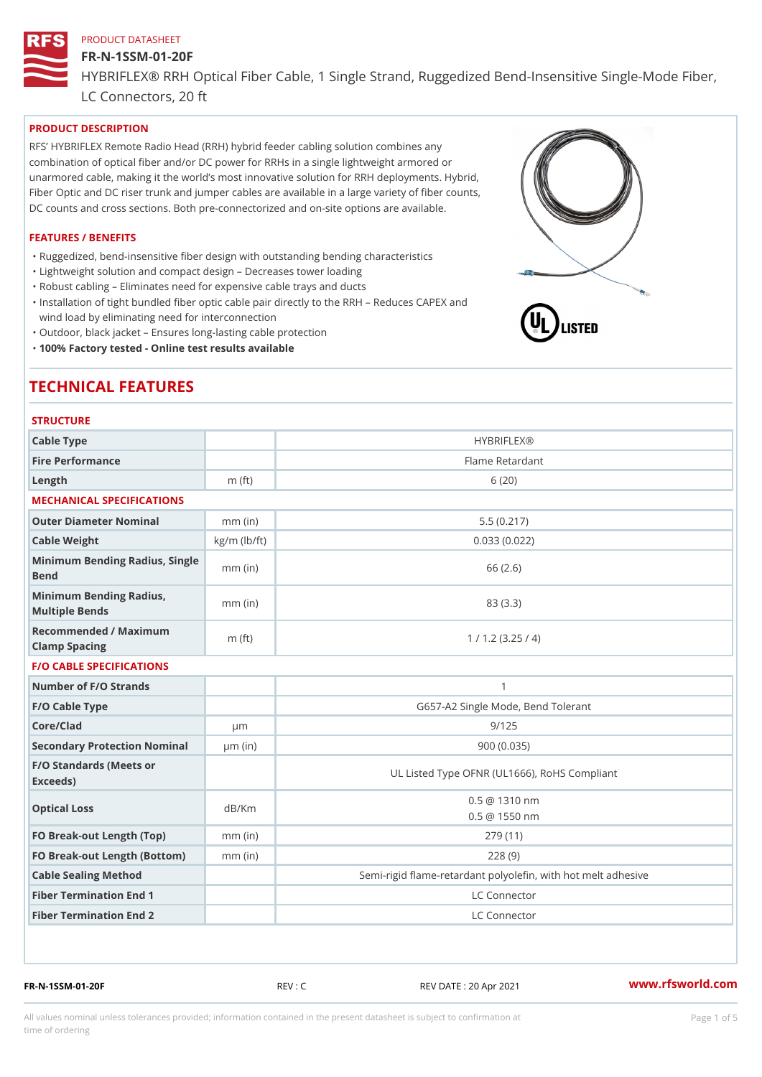#### FR-N-1SSM-01-20F

HYBRIFLEX® RRH Optical Fiber Cable, 1 Single Strand, Ruggedized Be

LC Connectors, 20 ft

## PRODUCT DESCRIPTION

RFS HYBRIFLEX Remote Radio Head (RRH) hybrid feeder cabling solution combines any combination of optical fiber and/or DC power for RRHs in a single lightweight armored or unarmored cable, making it the world s most innovative solution for RRH deployments. Hybrid, Fiber Optic and DC riser trunk and jumper cables are available in a large variety of fiber counts, DC counts and cross sections. Both pre-connectorized and on-site options are available.

#### FEATURES / BENEFITS

"Ruggedized, bend-insensitive fiber design with outstanding bending characteristics

- "Lightweight solution and compact design Decreases tower loading
- "Robust cabling Eliminates need for expensive cable trays and ducts
- "Installation of tight bundled fiber optic cable pair directly to the RRH Aeduces CAPEX and wind load by eliminating need for interconnection
- "Outdoor, black jacket Ensures long-lasting cable protection
- "100% Factory tested Online test results available

## TECHNICAL FEATURES

## **STRUCTURE**

| Cable Type                                        |                    | <b>HYBRIFLEX®</b>                                        |
|---------------------------------------------------|--------------------|----------------------------------------------------------|
| Fire Performance                                  |                    | Flame Retardant                                          |
| $L$ ength                                         | $m$ (ft)           | 6(20)                                                    |
| MECHANICAL SPECIFICATIONS                         |                    |                                                          |
| Outer Diameter Nominal                            | $mm$ (in)          | 5.5(0.217)                                               |
| Cable Weight                                      | $kg/m$ ( $lb/ft$ ) | 0.033(0.022)                                             |
| Minimum Bending Radius, Single<br>Bend            |                    | 66 (2.6)                                                 |
| Minimum Bending Radius, mm (in)<br>Multiple Bends |                    | 83 (3.3)                                                 |
| Recommended / Maximum<br>Clamp Spacing            | $m$ (ft)           | 1 / 1.2 (3.25 / 4)                                       |
| <b>F/O CABLE SPECIFICATIONS</b>                   |                    |                                                          |
| Number of F/O Strands                             |                    | $\mathbf{1}$                                             |
| F/O Cable Type                                    |                    | G657-A2 Single Mode, Bend Tolerant                       |
| Core/Clad                                         | $\mu$ m            | 9/125                                                    |
| Secondary Protection Nomimal(in)                  |                    | 900 (0.035)                                              |
| F/O Standards (Meets or<br>Exceeds)               |                    | UL Listed Type OFNR (UL1666), RoHS Compliant             |
| Optical Loss                                      | dB/Km              | $0.5 \t@ 1310 nm$<br>$0.5 \t@ 1550 nm$                   |
| FO Break-out Length (Top)mm (in)                  |                    | 279 (11)                                                 |
| FO Break-out Length (Bottomm) (in)                |                    | 228(9)                                                   |
| Cable Sealing Method                              |                    | Semi-rigid flame-retardant polyolefin, with hot melt adl |
| Fiber Termination End                             |                    | LC Connector                                             |
| Fiber Termination End 2                           |                    | LC Connector                                             |

FR-N-1SSM-01-20F REV : C REV DATE : 20 Apr 2021 [www.](https://www.rfsworld.com)rfsworld.com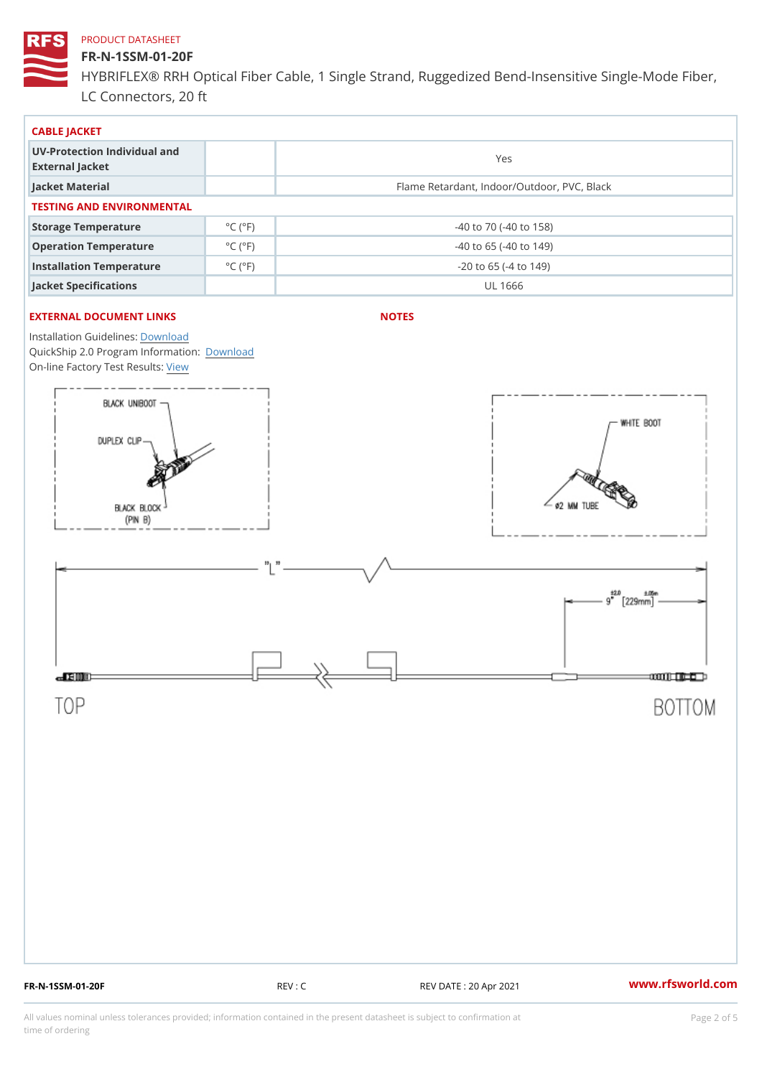## FR-N-1SSM-01-20F

HYBRIFLEX® RRH Optical Fiber Cable, 1 Single Strand, Ruggedized Be LC Connectors, 20 ft

| CABLE JACKET                                    |                             |                                             |  |  |  |  |
|-------------------------------------------------|-----------------------------|---------------------------------------------|--|--|--|--|
| UV-Protection Individual and<br>External Jacket |                             | Yes                                         |  |  |  |  |
| Jacket Material                                 |                             | Flame Retardant, Indoor/Outdoor, PVC, Black |  |  |  |  |
| TESTING AND ENVIRONMENTAL                       |                             |                                             |  |  |  |  |
| Storage Temperature                             | $^{\circ}$ C ( $^{\circ}$ F | $-40$ to $70$ ( $-40$ to $158$ )            |  |  |  |  |
| Operation Temperature                           | $^{\circ}$ C ( $^{\circ}$ F | $-40$ to 65 ( $-40$ to 149)                 |  |  |  |  |
| Installation Temperature                        | $^{\circ}$ C ( $^{\circ}$ F | $-20$ to 65 ( $-4$ to 149)                  |  |  |  |  |
| Jacket Specifications                           |                             | UL 1666                                     |  |  |  |  |

## EXTERNAL DOCUMENT LINKS

NOTES

Installation Guidelwinessad QuickShip 2.0 Program [Informa](http://www.rfsworld.com/images/hybriflex/quickship_program_2.pdf)tion: On-line Factory Te[s](https://www.rfsworld.com/pictures/userfiles/programs/AAST Latest Version.zip)teResults:

FR-N-1SSM-01-20F REV : C REV DATE : 20 Apr 2021 [www.](https://www.rfsworld.com)rfsworld.com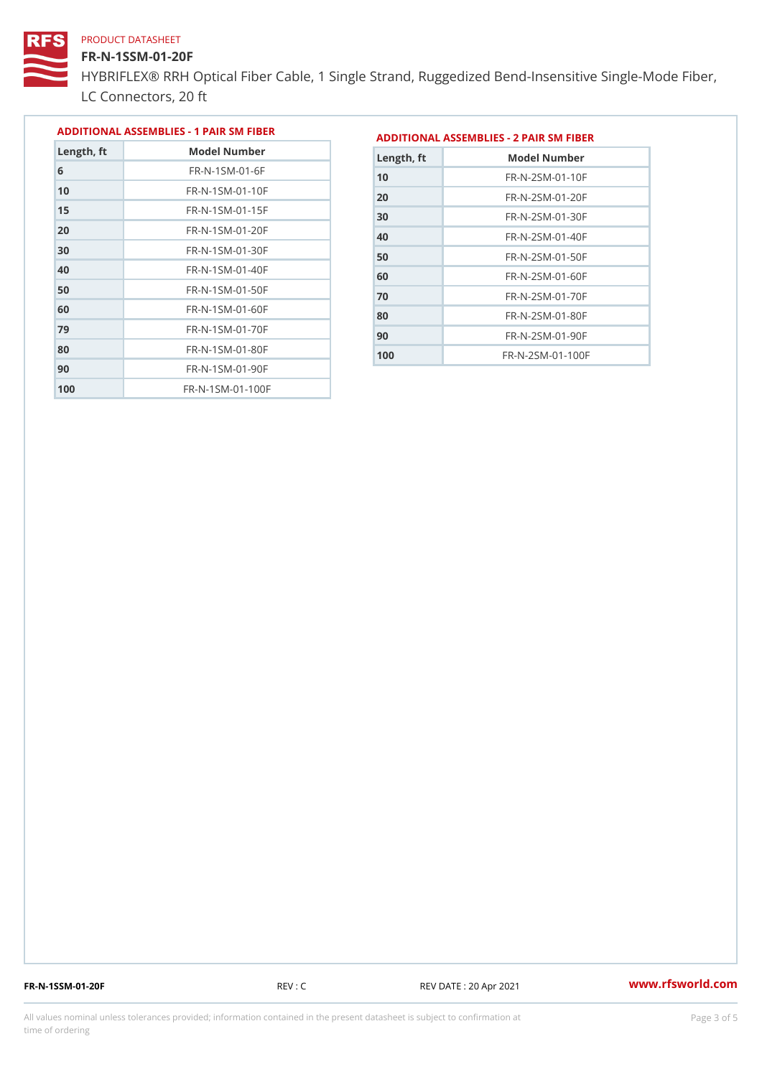#### FR-N-1SSM-01-20F

HYBRIFLEX® RRH Optical Fiber Cable, 1 Single Strand, Ruggedized Be LC Connectors, 20 ft

|            |                            | ADDITIONAL ASSEMBLIES - 1 PAIR SM FIBERDDITIONAL ASSEMBLIES - 2 PAIR SM FIBER |  |
|------------|----------------------------|-------------------------------------------------------------------------------|--|
| Length, ft | Model Number               | Length, ft<br>Model Number                                                    |  |
|            | $FR - N - 1$ SM - 01 - 6 F | $FR - N - 2 SM - 01 - 10 F$<br>10                                             |  |

| F K - N - 1 S M - 0 1 - 6 F  |
|------------------------------|
| FR-N-1SM-01-10F              |
| $FR - N - 1$ S M - 01 - 15 F |
| FR-N-1SM-01-20F              |
| $FR - N - 1 S M - 01 - 30 F$ |
| FR-N-1SM-01-40F              |
| FR-N-1SM-01-50F              |
| FR-N-1SM-01-60F              |
| $FR - N - 1 S M - 01 - 70 F$ |
| $FR - N - 1$ S M - 01 - 80 F |
| FR-N-1SM-01-90F              |
| FR-N-1SM-01-100F             |
|                              |

| Length, ft | Model Number                 |
|------------|------------------------------|
| 10         | FR-N-2SM-01-10F              |
| 20         | $FR - N - 2 S M - 01 - 20 F$ |
| 30         | $FR - N - 2 SM - 01 - 30 F$  |
| 40         | $FR - N - 2 SM - 01 - 40 F$  |
| 50         | $FR - N - 2 SM - 01 - 50 F$  |
| 60         | $FR - N - 2 SM - 01 - 60 F$  |
| 70         | $FR - N - 2 SM - 01 - 70 F$  |
| 80         | $FR - N - 2 SM - 01 - 80 F$  |
| 90         | FR-N-2SM-01-90F              |
| 100        | $FR - N - 2 SM - 01 - 100 F$ |

FR-N-1SSM-01-20F REV : C REV DATE : 20 Apr 2021 [www.](https://www.rfsworld.com)rfsworld.com

All values nominal unless tolerances provided; information contained in the present datasheet is subject to Pcapgeling that i time of ordering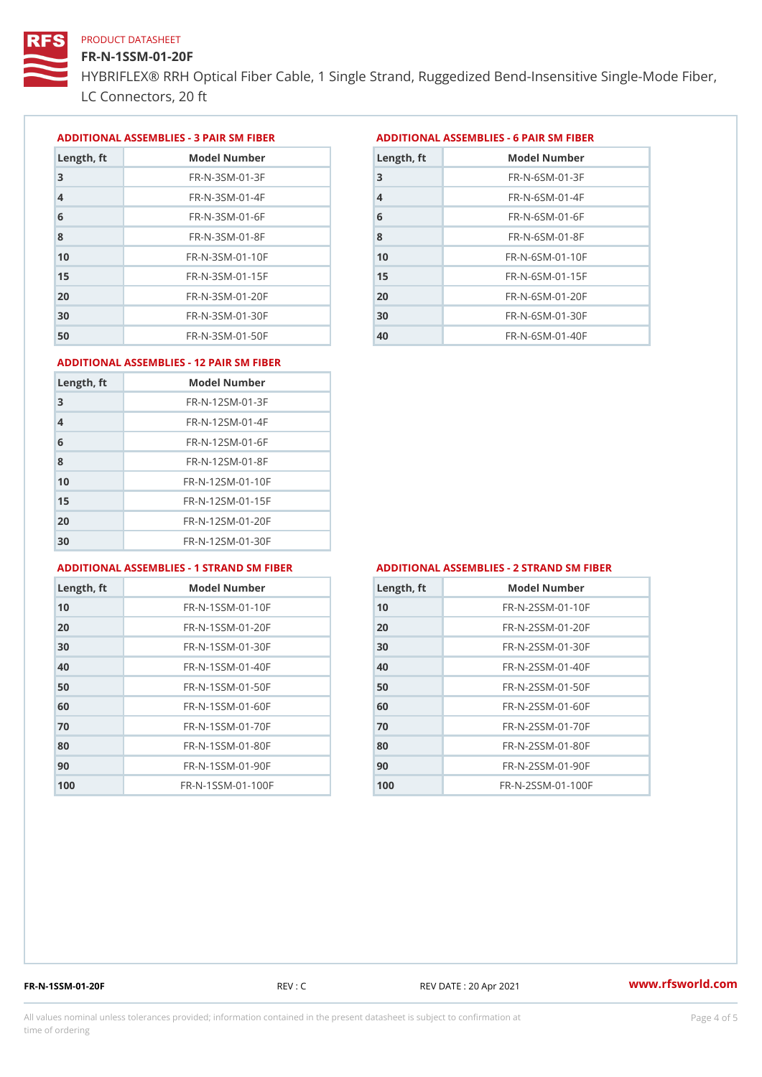## FR-N-1SSM-01-20F

HYBRIFLEX® RRH Optical Fiber Cable, 1 Single Strand, Ruggedized Be LC Connectors, 20 ft

ADDITIONAL ASSEMBLIES - 3 PAIR SM FIBERED DITIONAL ASSEMBLIES - 6 PAIR SM FIBER

| Length, ft     | Model Number                 |
|----------------|------------------------------|
| 3              | $FR - N - 3 S M - 01 - 3 F$  |
| $\overline{4}$ | $FR - N - 3 S M - 01 - 4 F$  |
| 6              | $FR - N - 3 S M - 01 - 6 F$  |
| 8              | $FR - N - 3 S M - 01 - 8 F$  |
| 10             | $FR - N - 3 S M - 01 - 10 F$ |
| 15             | $FR - N - 3 S M - 01 - 15 F$ |
| 20             | $FR - N - 3 S M - 01 - 20 F$ |
| 30             | $FR - N - 3 S M - 01 - 30 F$ |
| 50             | $FR - N - 3 S M - 01 - 50 F$ |

| Model Number<br>Length, ft   |
|------------------------------|
| $FR - N - 6 S M - 01 - 3 F$  |
| $FR - N - 6$ S M - 01 - 4 F  |
| $FR - N - 6 S M - 01 - 6 F$  |
| $FR - N - 6$ S M - 01 - 8 F  |
| $FR - N - 6$ S M - 01 - 10 F |
| $FR - N - 6$ S M - 01 - 15 F |
| $FR - N - 6 SM - 01 - 20 F$  |
| $FR - N - 6$ S M - 01 - 30 F |
| $FR - N - 6 SM - 01 - 40 F$  |
|                              |

#### ADDITIONAL ASSEMBLIES - 12 PAIR SM FIBER

| Length, ft     | Model Number                 |
|----------------|------------------------------|
| 3              | $FR - N - 12SM - 01 - 3F$    |
| $\overline{4}$ | $FR - N - 12SM - 01 - 4F$    |
| 6              | $FR - N - 12$ S M - 01 - 6 F |
| 8              | $FR - N - 12$ S M - 01 - 8 F |
| 10             | FR-N-12SM-01-10F             |
| 15             | FR-N-12SM-01-15F             |
| 20             | FR-N-12SM-01-20F             |
| 30             | FR-N-12SM-01-30F             |

#### ADDITIONAL ASSEMBLIES - 1 STRAND SM FABSDRTIONAL ASSEMBLIES - 2 STRAND SM FIBER

| Length, ft | Model Number                   |
|------------|--------------------------------|
| 10         | $FR - N - 1$ S S M - 01 - 10 F |
| 20         | $FR - N - 1$ S S M - 01 - 20 F |
| 30         | $FR - N - 1$ S S M - 01 - 30 F |
| 40         | $FR - N - 1$ S S M - 01 - 40 F |
| 50         | $FR - N - 1$ S S M - 01 - 50 F |
| 60         | $FR - N - 1$ S S M - 01 - 60 F |
| 70         | FR-N-1SSM-01-70F               |
| 80         | $FR - N - 1$ S S M - 01 - 80 F |
| 90         | $FR - N - 1$ S S M - 01 - 90 F |
| 100        | FR-N-1SSM-01-100F              |

| Length, ft | Model Number                   |
|------------|--------------------------------|
| 10         | FR-N-2SSM-01-10F               |
| 20         | $FR - N - 2 S S M - 01 - 20 F$ |
| 30         | FR-N-2SSM-01-30F               |
| 40         | FR-N-2SSM-01-40F               |
| 50         | FR-N-2SSM-01-50F               |
| 60         | FR-N-2SSM-01-60F               |
| 70         | FR-N-2SSM-01-70F               |
| 80         | FR-N-2SSM-01-80F               |
| 90         | $FR - N - 2 S S M - 01 - 90 F$ |
| 100        | FR-N-2SSM-01-100F              |

FR-N-1SSM-01-20F REV : C REV DATE : 20 Apr 2021 [www.](https://www.rfsworld.com)rfsworld.com

All values nominal unless tolerances provided; information contained in the present datasheet is subject to Pcapgnéig4m ssti time of ordering